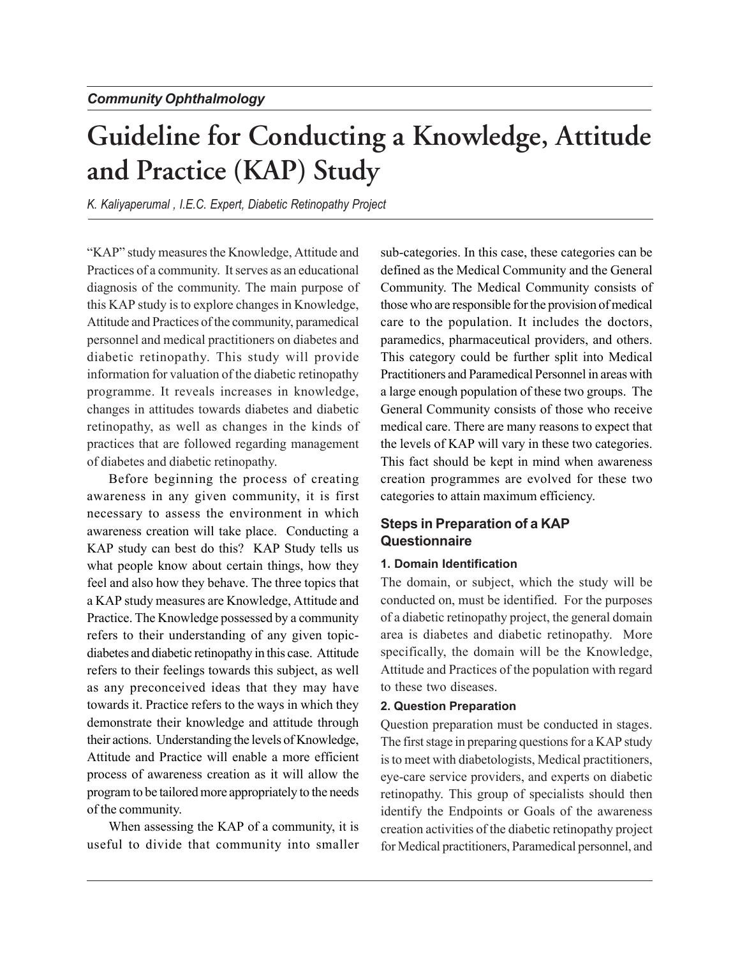# **Guideline for Conducting a Knowledge, Attitude and Practice (KAP) Study**

*K. Kaliyaperumal , I.E.C. Expert, Diabetic Retinopathy Project*

"KAP" study measures the Knowledge, Attitude and Practices of a community. It serves as an educational diagnosis of the community. The main purpose of this KAP study is to explore changes in Knowledge, Attitude and Practices of the community, paramedical personnel and medical practitioners on diabetes and diabetic retinopathy. This study will provide information for valuation of the diabetic retinopathy programme. It reveals increases in knowledge, changes in attitudes towards diabetes and diabetic retinopathy, as well as changes in the kinds of practices that are followed regarding management of diabetes and diabetic retinopathy.

Before beginning the process of creating awareness in any given community, it is first necessary to assess the environment in which awareness creation will take place. Conducting a KAP study can best do this? KAP Study tells us what people know about certain things, how they feel and also how they behave. The three topics that a KAP study measures are Knowledge, Attitude and Practice. The Knowledge possessed by a community refers to their understanding of any given topicdiabetes and diabetic retinopathy in this case. Attitude refers to their feelings towards this subject, as well as any preconceived ideas that they may have towards it. Practice refers to the ways in which they demonstrate their knowledge and attitude through their actions. Understanding the levels of Knowledge, Attitude and Practice will enable a more efficient process of awareness creation as it will allow the program to be tailored more appropriately to the needs of the community.

When assessing the KAP of a community, it is useful to divide that community into smaller sub-categories. In this case, these categories can be defined as the Medical Community and the General Community. The Medical Community consists of those who are responsible for the provision of medical care to the population. It includes the doctors, paramedics, pharmaceutical providers, and others. This category could be further split into Medical Practitioners and Paramedical Personnel in areas with a large enough population of these two groups. The General Community consists of those who receive medical care. There are many reasons to expect that the levels of KAP will vary in these two categories. This fact should be kept in mind when awareness creation programmes are evolved for these two categories to attain maximum efficiency.

# **Steps in Preparation of a KAP Questionnaire**

## **1. Domain Identification**

The domain, or subject, which the study will be conducted on, must be identified. For the purposes of a diabetic retinopathy project, the general domain area is diabetes and diabetic retinopathy. More specifically, the domain will be the Knowledge, Attitude and Practices of the population with regard to these two diseases.

#### **2. Question Preparation**

Question preparation must be conducted in stages. The first stage in preparing questions for a KAP study is to meet with diabetologists, Medical practitioners, eye-care service providers, and experts on diabetic retinopathy. This group of specialists should then identify the Endpoints or Goals of the awareness creation activities of the diabetic retinopathy project for Medical practitioners, Paramedical personnel, and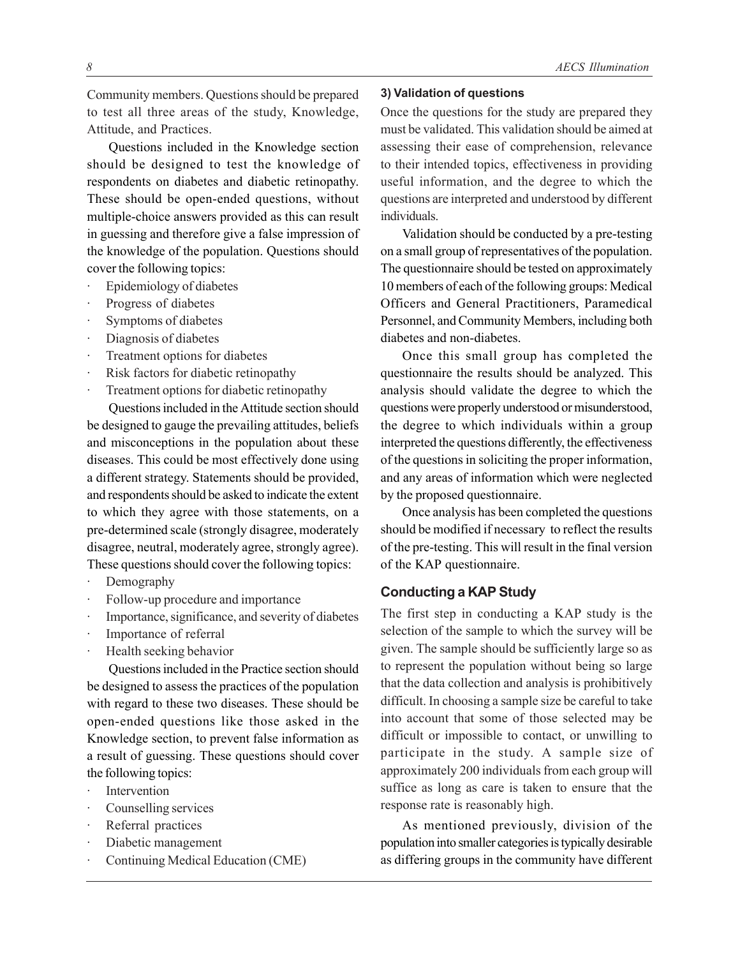Community members. Questions should be prepared to test all three areas of the study, Knowledge, Attitude, and Practices.

Questions included in the Knowledge section should be designed to test the knowledge of respondents on diabetes and diabetic retinopathy. These should be open-ended questions, without multiple-choice answers provided as this can result in guessing and therefore give a false impression of the knowledge of the population. Questions should cover the following topics:

- Epidemiology of diabetes
- Progress of diabetes
- Symptoms of diabetes
- Diagnosis of diabetes
- Treatment options for diabetes
- Risk factors for diabetic retinopathy
- Treatment options for diabetic retinopathy

Questions included in the Attitude section should be designed to gauge the prevailing attitudes, beliefs and misconceptions in the population about these diseases. This could be most effectively done using a different strategy. Statements should be provided, and respondents should be asked to indicate the extent to which they agree with those statements, on a pre-determined scale (strongly disagree, moderately disagree, neutral, moderately agree, strongly agree). These questions should cover the following topics:

- Demography
- Follow-up procedure and importance
- Importance, significance, and severity of diabetes
- Importance of referral
- Health seeking behavior

Questions included in the Practice section should be designed to assess the practices of the population with regard to these two diseases. These should be open-ended questions like those asked in the Knowledge section, to prevent false information as a result of guessing. These questions should cover the following topics:

- **Intervention**
- Counselling services
- Referral practices
- · Diabetic management
- Continuing Medical Education (CME)

#### **3) Validation of questions**

Once the questions for the study are prepared they must be validated. This validation should be aimed at assessing their ease of comprehension, relevance to their intended topics, effectiveness in providing useful information, and the degree to which the questions are interpreted and understood by different individuals.

Validation should be conducted by a pre-testing on a small group of representatives of the population. The questionnaire should be tested on approximately 10 members of each of the following groups: Medical Officers and General Practitioners, Paramedical Personnel, and Community Members, including both diabetes and non-diabetes.

Once this small group has completed the questionnaire the results should be analyzed. This analysis should validate the degree to which the questions were properly understood or misunderstood, the degree to which individuals within a group interpreted the questions differently, the effectiveness of the questions in soliciting the proper information, and any areas of information which were neglected by the proposed questionnaire.

Once analysis has been completed the questions should be modified if necessary to reflect the results of the pre-testing. This will result in the final version of the KAP questionnaire.

## **Conducting a KAP Study**

The first step in conducting a KAP study is the selection of the sample to which the survey will be given. The sample should be sufficiently large so as to represent the population without being so large that the data collection and analysis is prohibitively difficult. In choosing a sample size be careful to take into account that some of those selected may be difficult or impossible to contact, or unwilling to participate in the study. A sample size of approximately 200 individuals from each group will suffice as long as care is taken to ensure that the response rate is reasonably high.

As mentioned previously, division of the population into smaller categories is typically desirable as differing groups in the community have different